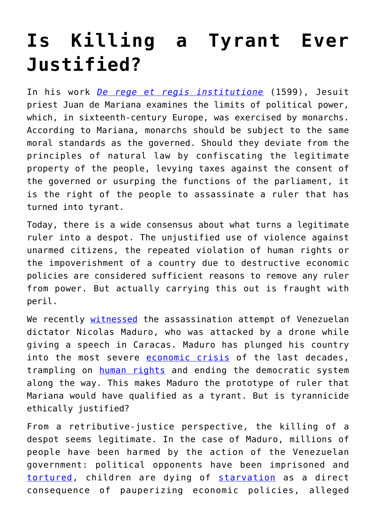## **[Is Killing a Tyrant Ever](https://intellectualtakeout.org/2018/08/is-killing-a-tyrant-ever-justified/) [Justified?](https://intellectualtakeout.org/2018/08/is-killing-a-tyrant-ever-justified/)**

In his work *[De rege et regis institutione](http://www.miseshispano.org/2017/06/juan-de-mariana-sobre-el-tiranicidio/)* (1599), Jesuit priest Juan de Mariana examines the limits of political power, which, in sixteenth-century Europe, was exercised by monarchs. According to Mariana, monarchs should be subject to the same moral standards as the governed. Should they deviate from the principles of natural law by confiscating the legitimate property of the people, levying taxes against the consent of the governed or usurping the functions of the parliament, it is the right of the people to assassinate a ruler that has turned into tyrant.

Today, there is a wide consensus about what turns a legitimate ruler into a despot. The unjustified use of violence against unarmed citizens, the repeated violation of human rights or the impoverishment of a country due to destructive economic policies are considered sufficient reasons to remove any ruler from power. But actually carrying this out is fraught with peril.

We recently [witnessed](https://eu.usatoday.com/story/news/politics/2018/08/06/venezuela-drone-attack-nicolas-maduro-assassination-attempt-what-happened/913096002/) the assassination attempt of Venezuelan dictator Nicolas Maduro, who was attacked by a drone while giving a speech in Caracas. Maduro has plunged his country into the most severe [economic crisis](https://www.independent.co.uk/news/business/analysis-and-features/venezuela-nicolas-maduro-economy-crisis-oil-prices-explained-history-hugo-chavez-a8494696.html) of the last decades, trampling on **[human rights](https://www.hrw.org/world-report/2018/country-chapters/venezuela)** and ending the democratic system along the way. This makes Maduro the prototype of ruler that Mariana would have qualified as a tyrant. But is tyrannicide ethically justified?

From a retributive-justice perspective, the killing of a despot seems legitimate. In the case of Maduro, millions of people have been harmed by the action of the Venezuelan government: political opponents have been imprisoned and [tortured](https://www.hrw.org/report/2017/11/29/crackdown-dissent/brutality-torture-and-political-persecution-venezuela), children are dying of [starvation](https://www.nytimes.com/interactive/2017/12/17/world/americas/venezuela-children-starving.html) as a direct consequence of pauperizing economic policies, alleged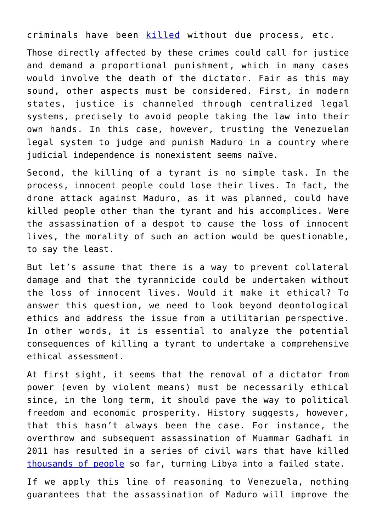criminals have been [killed](https://www.washingtonpost.com/news/worldviews/wp/2017/10/05/report-more-than-500-people-were-killed-in-two-years-in-venezuelan-government-anti-crime-campaign/?noredirect=on&utm_term=.60309fb14ea7) without due process, etc.

Those directly affected by these crimes could call for justice and demand a proportional punishment, which in many cases would involve the death of the dictator. Fair as this may sound, other aspects must be considered. First, in modern states, justice is channeled through centralized legal systems, precisely to avoid people taking the law into their own hands. In this case, however, trusting the Venezuelan legal system to judge and punish Maduro in a country where judicial independence is nonexistent seems naïve.

Second, the killing of a tyrant is no simple task. In the process, innocent people could lose their lives. In fact, the drone attack against Maduro, as it was planned, could have killed people other than the tyrant and his accomplices. Were the assassination of a despot to cause the loss of innocent lives, the morality of such an action would be questionable, to say the least.

But let's assume that there is a way to prevent collateral damage and that the tyrannicide could be undertaken without the loss of innocent lives. Would it make it ethical? To answer this question, we need to look beyond deontological ethics and address the issue from a utilitarian perspective. In other words, it is essential to analyze the potential consequences of killing a tyrant to undertake a comprehensive ethical assessment.

At first sight, it seems that the removal of a dictator from power (even by violent means) must be necessarily ethical since, in the long term, it should pave the way to political freedom and economic prosperity. History suggests, however, that this hasn't always been the case. For instance, the overthrow and subsequent assassination of Muammar Gadhafi in 2011 has resulted in a series of civil wars that have killed [thousands of people](https://www.theguardian.com/world/2016/feb/16/libya-gaddafi-arab-spring-civil-war-islamic-state) so far, turning Libya into a failed state.

If we apply this line of reasoning to Venezuela, nothing guarantees that the assassination of Maduro will improve the